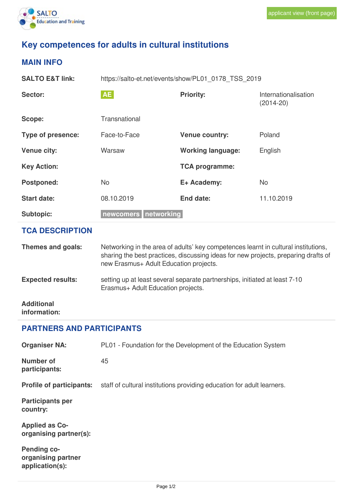

## **Key competences for adults in cultural institutions**

## **MAIN INFO**

| AE<br><b>Priority:</b><br>Sector:<br>Internationalisation<br>$(2014-20)$<br>Transnational<br>Scope: |  |  |  |
|-----------------------------------------------------------------------------------------------------|--|--|--|
|                                                                                                     |  |  |  |
|                                                                                                     |  |  |  |
| Poland<br><b>Type of presence:</b><br>Face-to-Face<br><b>Venue country:</b>                         |  |  |  |
| <b>Venue city:</b><br>Warsaw<br><b>Working language:</b><br>English                                 |  |  |  |
| <b>Key Action:</b><br><b>TCA programme:</b>                                                         |  |  |  |
| <b>Postponed:</b><br>E+ Academy:<br>No.<br>N <sub>o</sub>                                           |  |  |  |
| <b>Start date:</b><br>08.10.2019<br>End date:<br>11.10.2019                                         |  |  |  |
| newcomers networking<br>Subtopic:                                                                   |  |  |  |
| <b>TCA DESCRIPTION</b>                                                                              |  |  |  |
|                                                                                                     |  |  |  |

**Expected results:** setting up at least several separate partnerships, initiated at least 7-10 Erasmus+ Adult Education projects.

**Additional information:**

## **PARTNERS AND PARTICIPANTS**

| <b>Organiser NA:</b>                                        | PL01 - Foundation for the Development of the Education System          |
|-------------------------------------------------------------|------------------------------------------------------------------------|
| <b>Number of</b><br>participants:                           | 45                                                                     |
| <b>Profile of participants:</b>                             | staff of cultural institutions providing education for adult learners. |
| <b>Participants per</b><br>country:                         |                                                                        |
| <b>Applied as Co-</b><br>organising partner(s):             |                                                                        |
| <b>Pending co-</b><br>organising partner<br>application(s): |                                                                        |